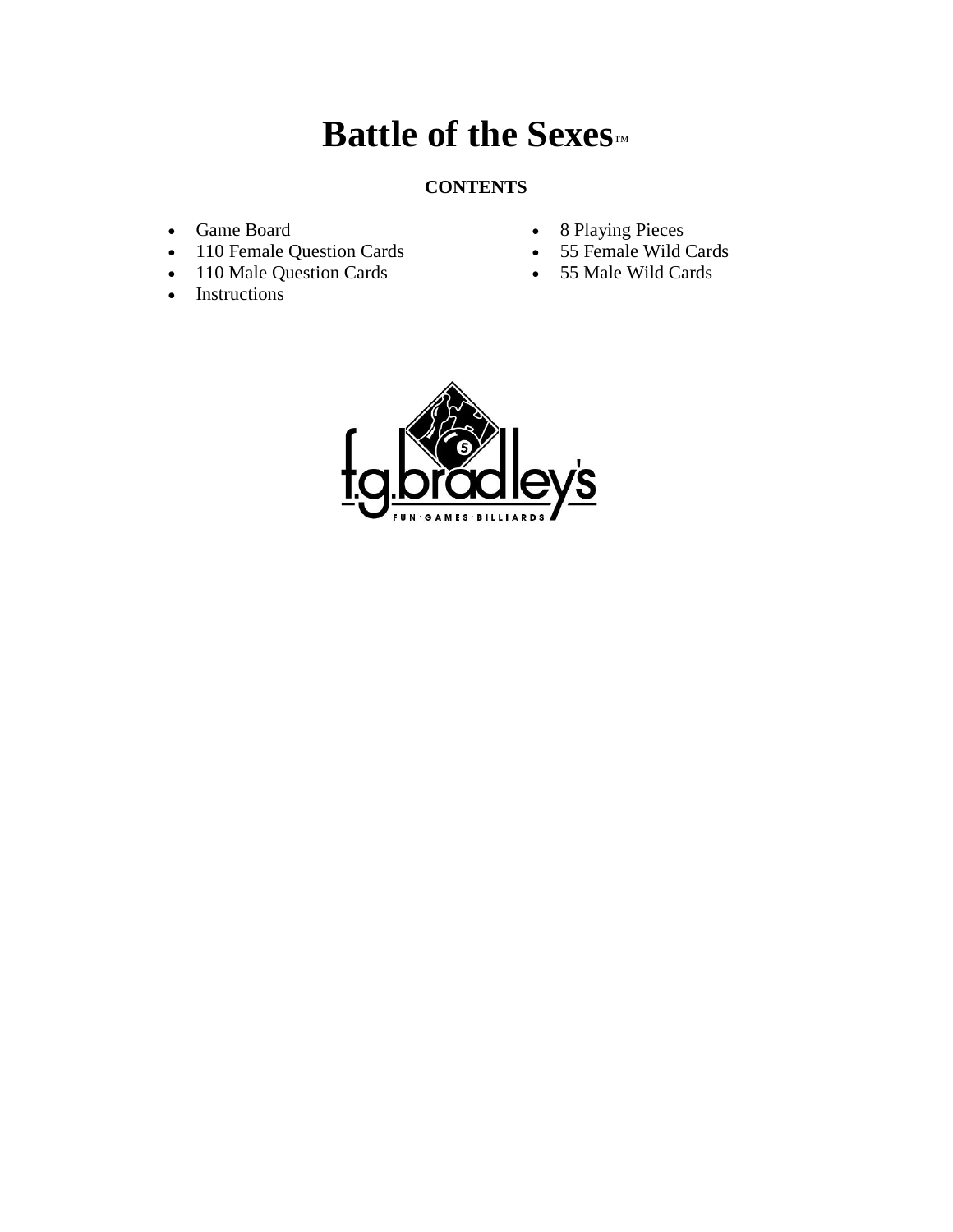# **Battle of the Sexes™**

# **CONTENTS**

- Game Board
- 110 Female Question Cards
- 110 Male Question Cards
- Instructions
- 8 Playing Pieces
- 55 Female Wild Cards
- 55 Male Wild Cards

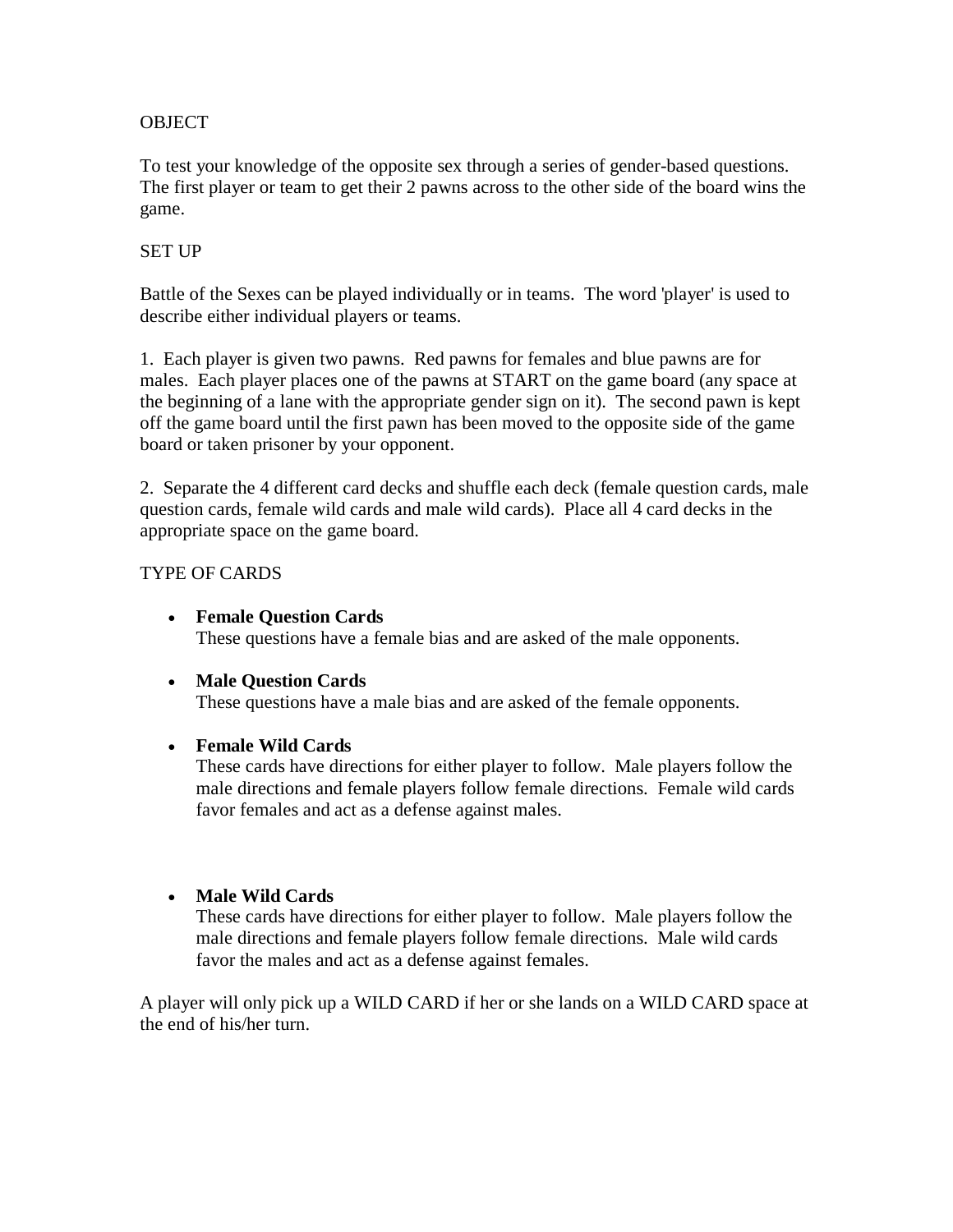## **OBJECT**

To test your knowledge of the opposite sex through a series of gender-based questions. The first player or team to get their 2 pawns across to the other side of the board wins the game.

# SET UP

Battle of the Sexes can be played individually or in teams. The word 'player' is used to describe either individual players or teams.

1. Each player is given two pawns. Red pawns for females and blue pawns are for males. Each player places one of the pawns at START on the game board (any space at the beginning of a lane with the appropriate gender sign on it). The second pawn is kept off the game board until the first pawn has been moved to the opposite side of the game board or taken prisoner by your opponent.

2. Separate the 4 different card decks and shuffle each deck (female question cards, male question cards, female wild cards and male wild cards). Place all 4 card decks in the appropriate space on the game board.

## TYPE OF CARDS

- **Female Question Cards** These questions have a female bias and are asked of the male opponents.
- **Male Question Cards**

These questions have a male bias and are asked of the female opponents.

#### • **Female Wild Cards**

These cards have directions for either player to follow. Male players follow the male directions and female players follow female directions. Female wild cards favor females and act as a defense against males.

#### • **Male Wild Cards**

These cards have directions for either player to follow. Male players follow the male directions and female players follow female directions. Male wild cards favor the males and act as a defense against females.

A player will only pick up a WILD CARD if her or she lands on a WILD CARD space at the end of his/her turn.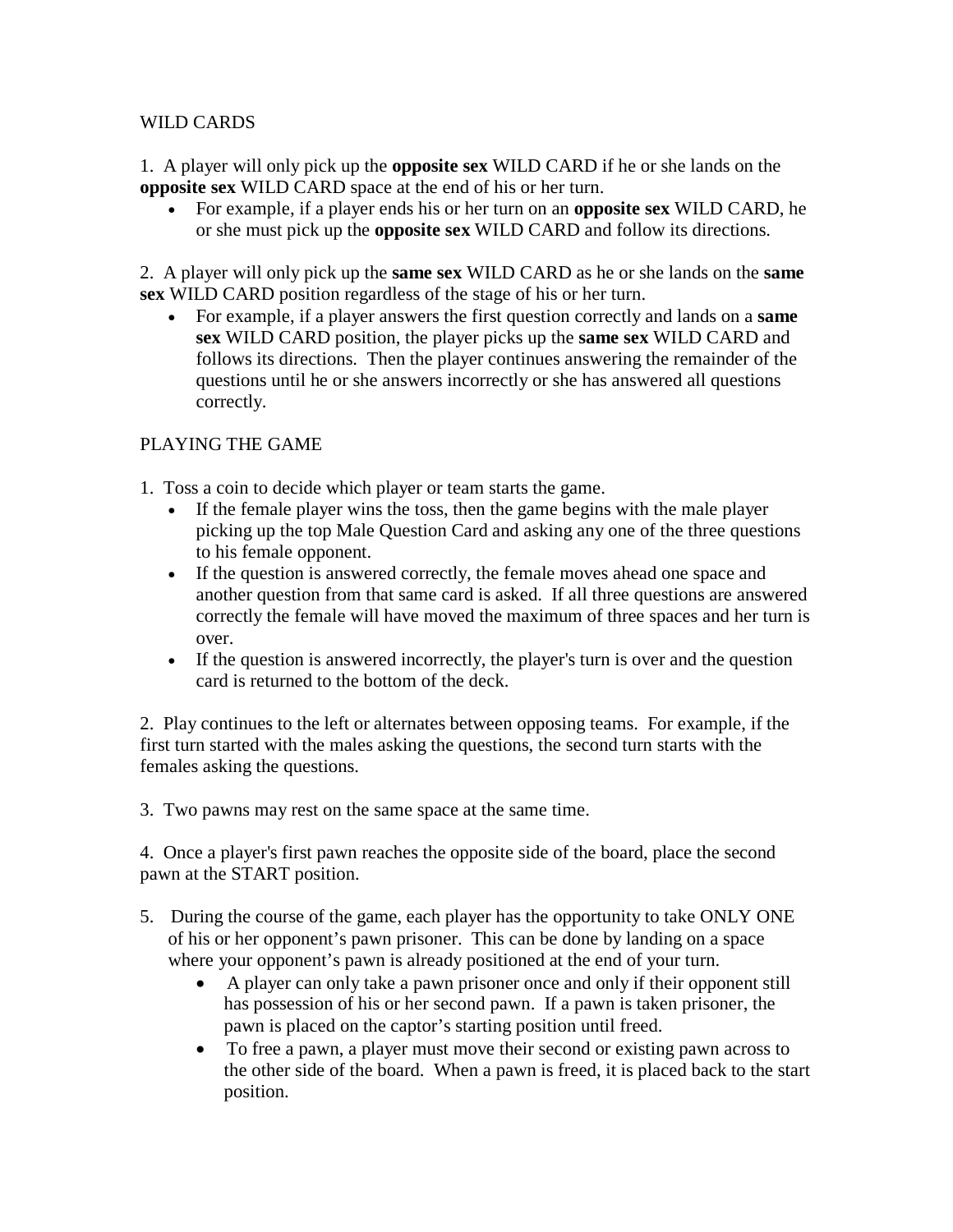## WILD CARDS

1. A player will only pick up the **opposite sex** WILD CARD if he or she lands on the **opposite sex** WILD CARD space at the end of his or her turn.

• For example, if a player ends his or her turn on an **opposite sex** WILD CARD, he or she must pick up the **opposite sex** WILD CARD and follow its directions.

2. A player will only pick up the **same sex** WILD CARD as he or she lands on the **same sex** WILD CARD position regardless of the stage of his or her turn.

• For example, if a player answers the first question correctly and lands on a **same sex** WILD CARD position, the player picks up the **same sex** WILD CARD and follows its directions. Then the player continues answering the remainder of the questions until he or she answers incorrectly or she has answered all questions correctly.

# PLAYING THE GAME

- 1. Toss a coin to decide which player or team starts the game.
	- If the female player wins the toss, then the game begins with the male player picking up the top Male Question Card and asking any one of the three questions to his female opponent.
	- If the question is answered correctly, the female moves ahead one space and another question from that same card is asked. If all three questions are answered correctly the female will have moved the maximum of three spaces and her turn is over.
	- If the question is answered incorrectly, the player's turn is over and the question card is returned to the bottom of the deck.

2. Play continues to the left or alternates between opposing teams. For example, if the first turn started with the males asking the questions, the second turn starts with the females asking the questions.

3. Two pawns may rest on the same space at the same time.

4. Once a player's first pawn reaches the opposite side of the board, place the second pawn at the START position.

- 5. During the course of the game, each player has the opportunity to take ONLY ONE of his or her opponent's pawn prisoner. This can be done by landing on a space where your opponent's pawn is already positioned at the end of your turn.
	- A player can only take a pawn prisoner once and only if their opponent still has possession of his or her second pawn. If a pawn is taken prisoner, the pawn is placed on the captor's starting position until freed.
	- To free a pawn, a player must move their second or existing pawn across to the other side of the board. When a pawn is freed, it is placed back to the start position.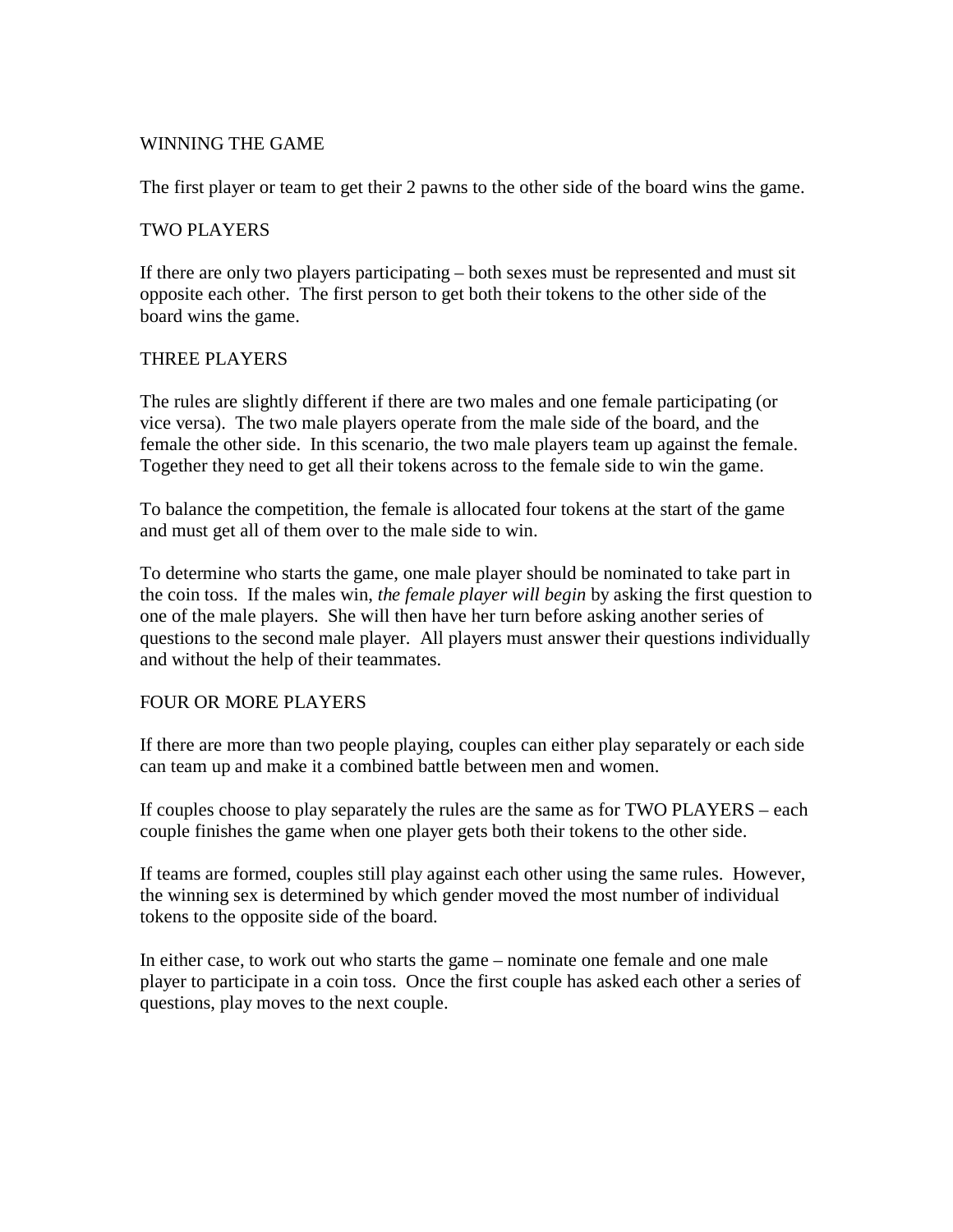#### WINNING THE GAME

The first player or team to get their 2 pawns to the other side of the board wins the game.

#### TWO PLAYERS

If there are only two players participating – both sexes must be represented and must sit opposite each other. The first person to get both their tokens to the other side of the board wins the game.

#### THREE PLAYERS

The rules are slightly different if there are two males and one female participating (or vice versa). The two male players operate from the male side of the board, and the female the other side. In this scenario, the two male players team up against the female. Together they need to get all their tokens across to the female side to win the game.

To balance the competition, the female is allocated four tokens at the start of the game and must get all of them over to the male side to win.

To determine who starts the game, one male player should be nominated to take part in the coin toss. If the males win, *the female player will begin* by asking the first question to one of the male players. She will then have her turn before asking another series of questions to the second male player. All players must answer their questions individually and without the help of their teammates.

#### FOUR OR MORE PLAYERS

If there are more than two people playing, couples can either play separately or each side can team up and make it a combined battle between men and women.

If couples choose to play separately the rules are the same as for TWO PLAYERS – each couple finishes the game when one player gets both their tokens to the other side.

If teams are formed, couples still play against each other using the same rules. However, the winning sex is determined by which gender moved the most number of individual tokens to the opposite side of the board.

In either case, to work out who starts the game – nominate one female and one male player to participate in a coin toss. Once the first couple has asked each other a series of questions, play moves to the next couple.